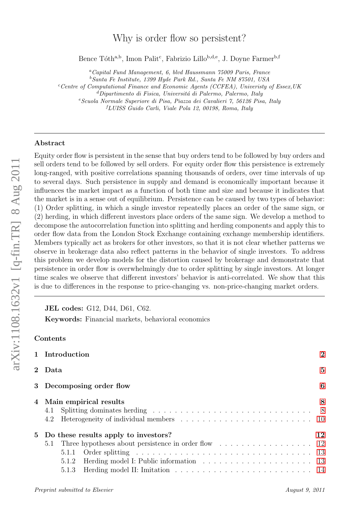# Why is order flow so persistent?

Bence Tóth<sup>a,b</sup>, Imon Palit<sup>c</sup>, Fabrizio Lillo<sup>b,d,e</sup>, J. Doyne Farmer<sup>b,f</sup>

 $a$ <sup>a</sup>Capital Fund Management, 6, blvd Haussmann 75009 Paris, France  $b$ Santa Fe Institute, 1399 Hyde Park Rd., Santa Fe NM 87501, USA  $c$ <sup>c</sup>Centre of Computational Finance and Economic Agents (CCFEA), University of Essex, UK

 ${}^{d}$ Dipartimento di Fisica, Universitá di Palermo, Palermo, Italy

 $e$ Scuola Normale Superiore di Pisa, Piazza dei Cavalieri 7, 56126 Pisa, Italy

<sup>f</sup>LUISS Guido Carli, Viale Pola 12, 00198, Roma, Italy

## Abstract

Equity order flow is persistent in the sense that buy orders tend to be followed by buy orders and sell orders tend to be followed by sell orders. For equity order flow this persistence is extremely long-ranged, with positive correlations spanning thousands of orders, over time intervals of up to several days. Such persistence in supply and demand is economically important because it influences the market impact as a function of both time and size and because it indicates that the market is in a sense out of equilibrium. Persistence can be caused by two types of behavior: (1) Order splitting, in which a single investor repeatedly places an order of the same sign, or (2) herding, in which different investors place orders of the same sign. We develop a method to decompose the autocorrelation function into splitting and herding components and apply this to order flow data from the London Stock Exchange containing exchange membership identifiers. Members typically act as brokers for other investors, so that it is not clear whether patterns we observe in brokerage data also reflect patterns in the behavior of single investors. To address this problem we develop models for the distortion caused by brokerage and demonstrate that persistence in order flow is overwhelmingly due to order splitting by single investors. At longer time scales we observe that different investors' behavior is anti-correlated. We show that this is due to differences in the response to price-changing vs. non-price-changing market orders.

JEL codes: G12, D44, D61, C62.

Keywords: Financial markets, behavioral economics

# Contents

|                          | 1 Introduction<br>2 Data                                                                                                                                                                                                       |    |  |  |
|--------------------------|--------------------------------------------------------------------------------------------------------------------------------------------------------------------------------------------------------------------------------|----|--|--|
|                          |                                                                                                                                                                                                                                |    |  |  |
| 3 Decomposing order flow |                                                                                                                                                                                                                                |    |  |  |
|                          | 4 Main empirical results                                                                                                                                                                                                       |    |  |  |
|                          | 5 Do these results apply to investors?<br>5.1 Three hypotheses about persistence in order flow 12<br>Order splitting $\ldots \ldots \ldots \ldots \ldots \ldots \ldots \ldots \ldots \ldots \ldots$<br>5.1.1<br>5.1.2<br>5.1.3 | 12 |  |  |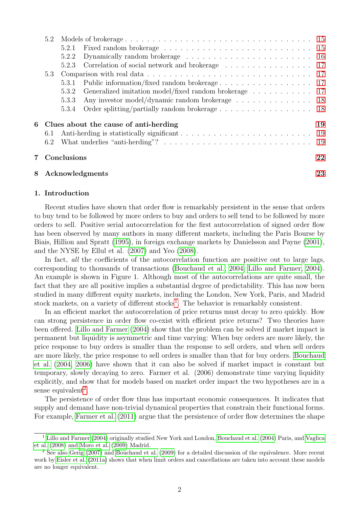|    | 5.2         |       |                                                       |    |  |
|----|-------------|-------|-------------------------------------------------------|----|--|
|    |             | 5.2.1 |                                                       |    |  |
|    |             | 5.2.2 |                                                       |    |  |
|    |             | 5.2.3 | Correlation of social network and brokerage 17        |    |  |
|    | 5.3         |       |                                                       |    |  |
|    |             | 5.3.1 |                                                       |    |  |
|    |             | 5.3.2 | Generalized imitation model/fixed random brokerage 17 |    |  |
|    |             | 5.3.3 | Any investor model/dynamic random brokerage 18        |    |  |
|    |             | 5.3.4 |                                                       |    |  |
| 6  |             |       | Clues about the cause of anti-herding                 | 19 |  |
|    | 6.1         |       |                                                       |    |  |
|    | 6.2         |       |                                                       |    |  |
| 7. | Conclusions |       |                                                       |    |  |
| 8  |             |       | Acknowledgments                                       | 23 |  |

# <span id="page-1-0"></span>1. Introduction

Recent studies have shown that order flow is remarkably persistent in the sense that orders to buy tend to be followed by more orders to buy and orders to sell tend to be followed by more orders to sell. Positive serial autocorrelation for the first autocorrelation of signed order flow has been observed by many authors in many different markets, including the Paris Bourse by Biais, Hillion and Spratt [\(1995\)](#page-22-1), in foreign exchange markets by Danielsson and Payne [\(2001\)](#page-23-0), and the NYSE by Ellul et al. [\(2007\)](#page-23-1) and Yeo [\(2008\)](#page-24-0).

In fact, all the coefficients of the autocorrelation function are positive out to large lags, corresponding to thousands of transactions [\(Bouchaud et al., 2004;](#page-22-2) [Lillo and Farmer, 2004\)](#page-23-2). An example is shown in Figure 1. Although most of the autocorrelations are quite small, the fact that they are all positive implies a substantial degree of predictability. This has now been studied in many different equity markets, including the London, New York, Paris, and Madrid stock markets, on a variety of different stocks<sup>[1](#page-1-1)</sup>. The behavior is remarkably consistent.

In an efficient market the autocorrelation of price returns must decay to zero quickly. How can strong persistence in order flow co-exist with efficient price returns? Two theories have been offered. [Lillo and Farmer](#page-23-2) [\(2004\)](#page-23-2) show that the problem can be solved if market impact is permanent but liquidity is asymmetric and time varying: When buy orders are more likely, the price response to buy orders is smaller than the response to sell orders, and when sell orders are more likely, the price response to sell orders is smaller than that for buy orders. [Bouchaud](#page-22-2) [et al.](#page-22-2) [\(2004,](#page-22-2) [2006\)](#page-22-3) have shown that it can also be solved if market impact is constant but temporary, slowly decaying to zero. Farmer et al. (2006) demonstrate time varying liquidity explicitly, and show that for models based on market order impact the two hypotheses are in a sense equivalent<sup>[2](#page-1-2)</sup>.

The persistence of order flow thus has important economic consequences. It indicates that supply and demand have non-trivial dynamical properties that constrain their functional forms. For example, [Farmer et al.](#page-23-3) [\(2011\)](#page-23-3) argue that the persistence of order flow determines the shape

<span id="page-1-1"></span><sup>1</sup> [Lillo and Farmer](#page-23-2) [\(2004\)](#page-23-2) originally studied New York and London, [Bouchaud et al.](#page-22-2) [\(2004\)](#page-22-2) Paris, and [Vaglica](#page-24-1) [et al.](#page-24-1) [\(2008\)](#page-24-1) and [Moro et al.](#page-24-2) [\(2009\)](#page-24-2) Madrid.

<span id="page-1-2"></span><sup>2</sup> See also [Gerig](#page-23-4) [\(2007\)](#page-23-4) and [Bouchaud et al.](#page-22-4) [\(2009\)](#page-22-4) for a detailed discussion of the equivalence. More recent work by [Eisler et al.](#page-23-5) [\(2011a\)](#page-23-5) shows that when limit orders and cancellations are taken into account these models are no longer equivalent.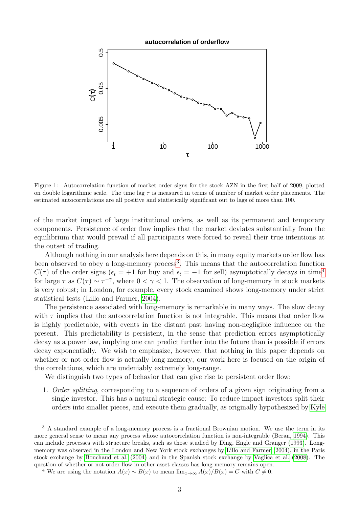

Figure 1: Autocorrelation function of market order signs for the stock AZN in the first half of 2009, plotted on double logarithmic scale. The time lag  $\tau$  is measured in terms of number of market order placements. The estimated autocorrelations are all positive and statistically significant out to lags of more than 100.

of the market impact of large institutional orders, as well as its permanent and temporary components. Persistence of order flow implies that the market deviates substantially from the equilibrium that would prevail if all participants were forced to reveal their true intentions at the outset of trading.

Although nothing in our analysis here depends on this, in many equity markets order flow has been observed to obey a long-memory process<sup>[3](#page-2-0)</sup>. This means that the autocorrelation function  $C(\tau)$  of the order signs ( $\epsilon_t = +1$  for buy and  $\epsilon_t = -1$  for sell) asymptotically decays in time<sup>[4](#page-2-1)</sup> for large  $\tau$  as  $C(\tau) \sim \tau^{-\gamma}$ , where  $0 < \gamma < 1$ . The observation of long-memory in stock markets is very robust; in London, for example, every stock examined shows long-memory under strict statistical tests (Lillo and Farmer, [2004\)](#page-23-2).

The persistence associated with long-memory is remarkable in many ways. The slow decay with  $\tau$  implies that the autocorrelation function is not integrable. This means that order flow is highly predictable, with events in the distant past having non-negligible influence on the present. This predictability is persistent, in the sense that prediction errors asymptotically decay as a power law, implying one can predict further into the future than is possible if errors decay exponentially. We wish to emphasize, however, that nothing in this paper depends on whether or not order flow is actually long-memory; our work here is focused on the origin of the correlations, which are undeniably extremely long-range.

We distinguish two types of behavior that can give rise to persistent order flow:

1. Order splitting, corresponding to a sequence of orders of a given sign originating from a single investor. This has a natural strategic cause: To reduce impact investors split their orders into smaller pieces, and execute them gradually, as originally hypothesized by [Kyle](#page-23-6)

<span id="page-2-0"></span><sup>&</sup>lt;sup>3</sup> A standard example of a long-memory process is a fractional Brownian motion. We use the term in its more general sense to mean any process whose autocorrelation function is non-integrable (Beran, [1994\)](#page-22-5). This can include processes with structure breaks, such as those studied by Ding, Engle and Granger [\(1993\)](#page-23-7). Longmemory was observed in the London and New York stock exchanges by [Lillo and Farmer](#page-23-2) [\(2004\)](#page-23-2), in the Paris stock exchange by [Bouchaud et al.](#page-22-2) [\(2004\)](#page-22-2) and in the Spanish stock exchange by [Vaglica et al.](#page-24-1) [\(2008\)](#page-24-1). The question of whether or not order flow in other asset classes has long-memory remains open.

<span id="page-2-1"></span><sup>&</sup>lt;sup>4</sup> We are using the notation  $A(x) \sim B(x)$  to mean  $\lim_{x\to\infty} A(x)/B(x) = C$  with  $C \neq 0$ .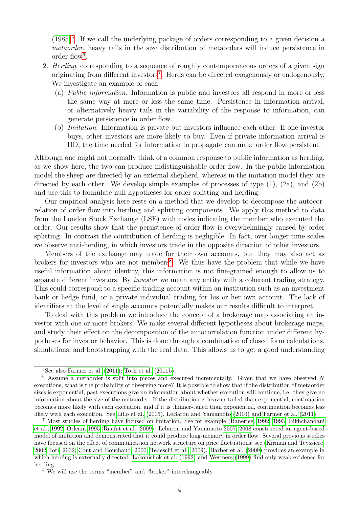$(1985)^5$  $(1985)^5$  $(1985)^5$ . If we call the underlying package of orders corresponding to a given decision a metaorder, heavy tails in the size distribution of metaorders will induce persistence in order flow<sup>[6](#page-3-1)</sup>.

- 2. Herding, corresponding to a sequence of roughly contemporaneous orders of a given sign originating from different investors<sup>[7](#page-3-2)</sup>. Herds can be directed exogenously or endogenously. We investigate an example of each:
	- (a) Public information. Information is public and investors all respond in more or less the same way at more or less the same time. Persistence in information arrival, or alternatively heavy tails in the variability of the response to information, can generate persistence in order flow.
	- (b) Imitation. Information is private but investors influence each other. If one investor buys, other investors are more likely to buy. Even if private information arrival is IID, the time needed for information to propagate can make order flow persistent.

Although one might not normally think of a common response to public information as herding, as we show here, the two can produce indistinguishable order flow. In the public information model the sheep are directed by an external shepherd, whereas in the imitation model they are directed by each other. We develop simple examples of processes of type  $(1)$ ,  $(2a)$ , and  $(2b)$ and use this to formulate null hypotheses for order splitting and herding.

Our empirical analysis here rests on a method that we develop to decompose the autocorrelation of order flow into herding and splitting components. We apply this method to data from the London Stock Exchange (LSE) with codes indicating the member who executed the order. Our results show that the persistence of order flow is overwhelmingly caused by order splitting. In contrast the contribution of herding is negligible. In fact, over longer time scales we observe anti-herding, in which investors trade in the opposite direction of other investors.

Members of the exchange may trade for their own accounts, but they may also act as brokers for investors who are not members<sup>[8](#page-3-3)</sup>. We thus have the problem that while we have useful information about identity, this information is not fine-grained enough to allow us to separate different investors. By investor we mean any entity with a coherent trading strategy. This could correspond to a specific trading account within an institution such as an investment bank or hedge fund, or a private individual trading for his or her own account. The lack of identifiers at the level of single accounts potentially makes our results difficult to interpret.

To deal with this problem we introduce the concept of a brokerage map associating an investor with one or more brokers. We make several different hypotheses about brokerage maps, and study their effect on the decomposition of the autocorrelation function under different hypotheses for investor behavior. This is done through a combination of closed form calculations, simulations, and bootstrapping with the real data. This allows us to get a good understanding

<span id="page-3-1"></span><span id="page-3-0"></span> $5$ See also [Farmer et al.](#page-23-3)  $(2011)$ ; [Toth et al.](#page-24-3)  $(2011b)$ .

<sup>6</sup> Assume a metaorder is split into pieces and executed incrementally. Given that we have observed N executions, what is the probability of observing more? It is possible to show that if the distribution of metaorder sizes is exponential, past executions give no information about whether execution will continue, i.e. they give no information about the size of the metaorder. If the distribution is heavier-tailed than exponential, continuation becomes more likely with each execution, and if it is thinner-tailed than exponential, continuation becomes less likely with each execution. See [Lillo et al.](#page-23-8) [\(2005\)](#page-23-8), [LeBaron and Yamamoto](#page-23-9) [\(2010\)](#page-23-9) and [Farmer et al.](#page-23-3) [\(2011\)](#page-23-3)

<span id="page-3-2"></span><sup>7</sup> Most studies of herding have focused on imitation. See for example [\(Banerjee, 1992,](#page-22-6) [1993;](#page-22-7) [Bikhchandani](#page-22-8) [et al., 1992;](#page-22-8) [Orlean, 1995;](#page-24-4) [Raafat et al., 2009\)](#page-24-5). Lebaron and Yamamoto [2007;](#page-23-10) [2008](#page-23-11) constructed an agent-based model of imitation and demonstrated that it could produce long-memory in order flow. Several previous studies have focused on the effect of communication network structure on price fluctuations; see [\(Kirman and Teyssiere,](#page-23-12) [2002;](#page-23-12) [Iori, 2002;](#page-23-13) [Cont and Bouchaud, 2000;](#page-23-14) [Tedeschi et al., 2009\)](#page-24-6). [Barber et al.](#page-22-9) [\(2009\)](#page-22-9) provides an example in which herding is externally directed. [Lakonishok et al.](#page-23-15) [\(1992\)](#page-23-15) and [Wermers](#page-24-7) [\(1999\)](#page-24-7) find only weak evidence for herding.

<span id="page-3-3"></span><sup>8</sup> We will use the terms "member" and "broker" interchangeably.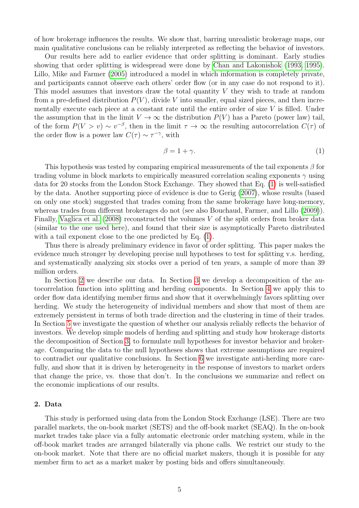of how brokerage influences the results. We show that, barring unrealistic brokerage maps, our main qualitative conclusions can be reliably interpreted as reflecting the behavior of investors.

Our results here add to earlier evidence that order splitting is dominant. Early studies showing that order splitting is widespread were done by [Chan and Lakonishok](#page-23-16) [\(1993,](#page-23-16) [1995\)](#page-23-17). Lillo, Mike and Farmer [\(2005\)](#page-23-8) introduced a model in which information is completely private, and participants cannot observe each others' order flow (or in any case do not respond to it). This model assumes that investors draw the total quantity V they wish to trade at random from a pre-defined distribution  $P(V)$ , divide V into smaller, equal sized pieces, and then incrementally execute each piece at a constant rate until the entire order of size  $V$  is filled. Under the assumption that in the limit  $V \to \infty$  the distribution  $P(V)$  has a Pareto (power law) tail, of the form  $P(V > v) \sim v^{-\beta}$ , then in the limit  $\tau \to \infty$  the resulting autocorrelation  $C(\tau)$  of the order flow is a power law  $C(\tau) \sim \tau^{-\gamma}$ , with

<span id="page-4-1"></span>
$$
\beta = 1 + \gamma. \tag{1}
$$

This hypothesis was tested by comparing empirical measurements of the tail exponents  $\beta$  for trading volume in block markets to empirically measured correlation scaling exponents  $\gamma$  using data for 20 stocks from the London Stock Exchange. They showed that Eq. [\(1\)](#page-4-1) is well-satisfied by the data. Another supporting piece of evidence is due to Gerig [\(2007\)](#page-23-4), whose results (based on only one stock) suggested that trades coming from the same brokerage have long-memory, whereas trades from different brokerages do not (see also Bouchaud, Farmer, and Lillo [\(2009\)](#page-22-4)). Finally, [Vaglica et al.](#page-24-1)  $(2008)$  reconstructed the volumes V of the split orders from broker data (similar to the one used here), and found that their size is asymptotically Pareto distributed with a tail exponent close to the one predicted by Eq.  $(1)$ .

Thus there is already preliminary evidence in favor of order splitting. This paper makes the evidence much stronger by developing precise null hypotheses to test for splitting v.s. herding, and systematically analyzing six stocks over a period of ten years, a sample of more than 39 million orders.

In Section [2](#page-4-0) we describe our data. In Section [3](#page-5-0) we develop a decomposition of the autocorrelation function into splitting and herding components. In Section [4](#page-7-0) we apply this to order flow data identifying member firms and show that it overwhelmingly favors splitting over herding. We study the heterogeneity of individual members and show that most of them are extremely persistent in terms of both trade direction and the clustering in time of their trades. In Section [5](#page-11-0) we investigate the question of whether our analysis reliably reflects the behavior of investors. We develop simple models of herding and splitting and study how brokerage distorts the decomposition of Section [3,](#page-5-0) to formulate null hypotheses for investor behavior and brokerage. Comparing the data to the null hypotheses shows that extreme assumptions are required to contradict our qualitative conclusions. In Section [6](#page-18-0) we investigate anti-herding more carefully, and show that it is driven by heterogeneity in the response of investors to market orders that change the price, vs. those that don't. In the conclusions we summarize and reflect on the economic implications of our results.

#### <span id="page-4-0"></span>2. Data

This study is performed using data from the London Stock Exchange (LSE). There are two parallel markets, the on-book market (SETS) and the off-book market (SEAQ). In the on-book market trades take place via a fully automatic electronic order matching system, while in the off-book market trades are arranged bilaterally via phone calls. We restrict our study to the on-book market. Note that there are no official market makers, though it is possible for any member firm to act as a market maker by posting bids and offers simultaneously.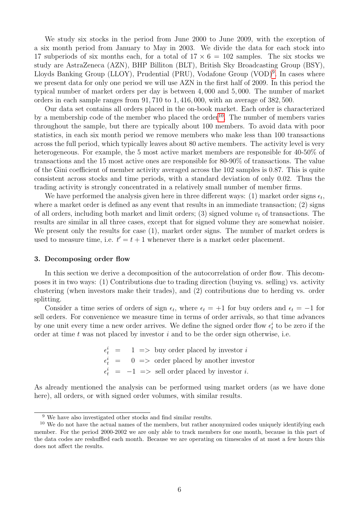We study six stocks in the period from June 2000 to June 2009, with the exception of a six month period from January to May in 2003. We divide the data for each stock into 17 subperiods of six months each, for a total of  $17 \times 6 = 102$  samples. The six stocks we study are AstraZeneca (AZN), BHP Billiton (BLT), British Sky Broadcasting Group (BSY), Lloyds Banking Group (LLOY), Prudential (PRU), Vodafone Group (VOD)<sup>[9](#page-5-1)</sup>. In cases where we present data for only one period we will use AZN in the first half of 2009. In this period the typical number of market orders per day is between 4, 000 and 5, 000. The number of market orders in each sample ranges from 91, 710 to 1, 416, 000, with an average of 382, 500.

Our data set contains all orders placed in the on-book market. Each order is characterized by a membership code of the member who placed the order<sup>[10](#page-5-2)</sup>. The number of members varies throughout the sample, but there are typically about 100 members. To avoid data with poor statistics, in each six month period we remove members who make less than 100 transactions across the full period, which typically leaves about 80 active members. The activity level is very heterogeneous. For example, the 5 most active market members are responsible for 40-50% of transactions and the 15 most active ones are responsible for 80-90% of transactions. The value of the Gini coefficient of member activity averaged across the 102 samples is 0.87. This is quite consistent across stocks and time periods, with a standard deviation of only 0.02. Thus the trading activity is strongly concentrated in a relatively small number of member firms.

We have performed the analysis given here in three different ways: (1) market order signs  $\epsilon_t$ , where a market order is defined as any event that results in an immediate transaction; (2) signs of all orders, including both market and limit orders; (3) signed volume  $v_t$  of transactions. The results are similar in all three cases, except that for signed volume they are somewhat noisier. We present only the results for case (1), market order signs. The number of market orders is used to measure time, i.e.  $t' = t + 1$  whenever there is a market order placement.

## <span id="page-5-0"></span>3. Decomposing order flow

In this section we derive a decomposition of the autocorrelation of order flow. This decomposes it in two ways: (1) Contributions due to trading direction (buying vs. selling) vs. activity clustering (when investors make their trades), and (2) contributions due to herding vs. order splitting.

Consider a time series of orders of sign  $\epsilon_t$ , where  $\epsilon_t = +1$  for buy orders and  $\epsilon_t = -1$  for sell orders. For convenience we measure time in terms of order arrivals, so that time advances by one unit every time a new order arrives. We define the signed order flow  $\epsilon_t^i$  to be zero if the order at time  $t$  was not placed by investor  $i$  and to be the order sign otherwise, i.e.

> $\epsilon_t^i$  = 1 => buy order placed by investor i  $\epsilon_t^i = 0 \implies$  order placed by another investor  $\epsilon_t^i = -1 \implies$  sell order placed by investor *i*.

As already mentioned the analysis can be performed using market orders (as we have done here), all orders, or with signed order volumes, with similar results.

<span id="page-5-2"></span><span id="page-5-1"></span><sup>9</sup> We have also investigated other stocks and find similar results.

 $10$  We do not have the actual names of the members, but rather anonymized codes uniquely identifying each member. For the period 2000-2002 we are only able to track members for one month, because in this part of the data codes are reshuffled each month. Because we are operating on timescales of at most a few hours this does not affect the results.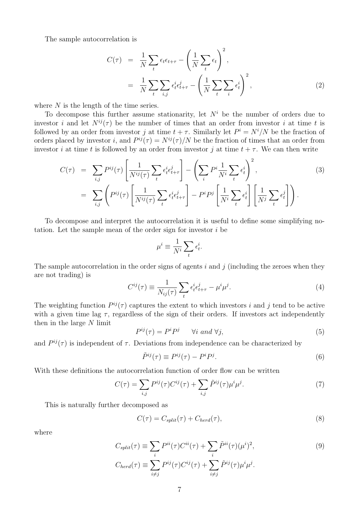The sample autocorrelation is

$$
C(\tau) = \frac{1}{N} \sum_{t} \epsilon_{t} \epsilon_{t+\tau} - \left(\frac{1}{N} \sum_{t} \epsilon_{t}\right)^{2},
$$
  

$$
= \frac{1}{N} \sum_{t} \sum_{i,j} \epsilon_{t}^{i} \epsilon_{t+\tau}^{j} - \left(\frac{1}{N} \sum_{t} \sum_{i} \epsilon_{t}^{i}\right)^{2},
$$
 (2)

where  $N$  is the length of the time series.

To decompose this further assume stationarity, let  $N<sup>i</sup>$  be the number of orders due to investor i and let  $N^{ij}(\tau)$  be the number of times that an order from investor i at time t is followed by an order from investor j at time  $t + \tau$ . Similarly let  $P^i = N^i/N$  be the fraction of orders placed by investor *i*, and  $P^{ij}(\tau) = N^{ij}(\tau)/N$  be the fraction of times that an order from investor i at time t is followed by an order from investor j at time  $t + \tau$ . We can then write

$$
C(\tau) = \sum_{i,j} P^{ij}(\tau) \left[ \frac{1}{N^{ij}(\tau)} \sum_{t} \epsilon_t^i \epsilon_{t+\tau}^j \right] - \left( \sum_i P^i \frac{1}{N^i} \sum_t \epsilon_t^i \right)^2,
$$
  

$$
= \sum_{i,j} \left( P^{ij}(\tau) \left[ \frac{1}{N^{ij}(\tau)} \sum_t \epsilon_t^i \epsilon_{t+\tau}^j \right] - P^i P^j \left[ \frac{1}{N^i} \sum_t \epsilon_t^i \right] \left[ \frac{1}{N^j} \sum_t \epsilon_t^j \right] \right).
$$
 (3)

To decompose and interpret the autocorrelation it is useful to define some simplifying notation. Let the sample mean of the order sign for investor i be

$$
\mu^i \equiv \frac{1}{N^i} \sum_t \epsilon^i_t.
$$

The sample autocorrelation in the order signs of agents  $i$  and  $j$  (including the zeroes when they are not trading) is

$$
C^{ij}(\tau) \equiv \frac{1}{N_{ij}(\tau)} \sum_{t} \epsilon_t^i \epsilon_{t+\tau}^j - \mu^i \mu^j.
$$
 (4)

The weighting function  $P^{ij}(\tau)$  captures the extent to which investors i and j tend to be active with a given time lag  $\tau$ , regardless of the sign of their orders. If investors act independently then in the large  $N$  limit

$$
P^{ij}(\tau) = P^i P^j \qquad \forall i \ and \ \forall j,
$$
\n<sup>(5)</sup>

and  $P^{ij}(\tau)$  is independent of  $\tau$ . Deviations from independence can be characterized by

$$
\tilde{P}^{ij}(\tau) \equiv P^{ij}(\tau) - P^i P^j. \tag{6}
$$

With these definitions the autocorrelation function of order flow can be written

<span id="page-6-0"></span>
$$
C(\tau) = \sum_{i,j} P^{ij}(\tau) C^{ij}(\tau) + \sum_{i,j} \tilde{P}^{ij}(\tau) \mu^i \mu^j.
$$
 (7)

This is naturally further decomposed as

<span id="page-6-1"></span>
$$
C(\tau) = C_{split}(\tau) + C_{herd}(\tau), \qquad (8)
$$

where

<span id="page-6-2"></span>
$$
C_{split}(\tau) \equiv \sum_{i} P^{ii}(\tau) C^{ii}(\tau) + \sum_{i} \tilde{P}^{ii}(\tau) (\mu^{i})^{2},
$$
  
\n
$$
C_{herd}(\tau) \equiv \sum_{i \neq j} P^{ij}(\tau) C^{ij}(\tau) + \sum_{i \neq j} \tilde{P}^{ij}(\tau) \mu^{i} \mu^{j}.
$$
\n(9)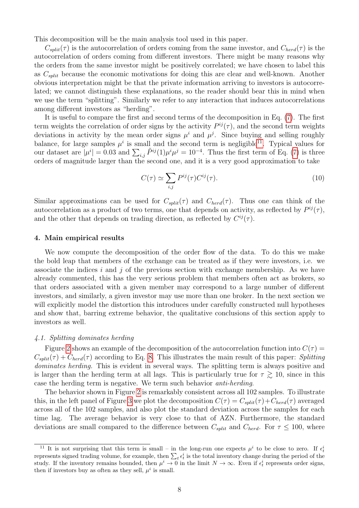This decomposition will be the main analysis tool used in this paper.

 $C_{split}(\tau)$  is the autocorrelation of orders coming from the same investor, and  $C_{herd}(\tau)$  is the autocorrelation of orders coming from different investors. There might be many reasons why the orders from the same investor might be positively correlated; we have chosen to label this as  $C_{split}$  because the economic motivations for doing this are clear and well-known. Another obvious interpretation might be that the private information arriving to investors is autocorrelated; we cannot distinguish these explanations, so the reader should bear this in mind when we use the term "splitting". Similarly we refer to any interaction that induces autocorrelations among different investors as "herding".

It is useful to compare the first and second terms of the decomposition in Eq. [\(7\)](#page-6-0). The first term weights the correlation of order signs by the activity  $P^{ij}(\tau)$ , and the second term weights deviations in activity by the mean order signs  $\mu^{i}$  and  $\mu^{j}$ . Since buying and selling roughly balance, for large samples  $\mu^{i}$  is small and the second term is negligible<sup>[11](#page-7-2)</sup>. Typical values for our dataset are  $|\mu^i|=0.03$  and  $\sum_{i,j}\tilde{P}^{ij}(1)\mu^i\mu^j=10^{-4}$ . Thus the first term of Eq. [\(7\)](#page-6-0) is three orders of magnitude larger than the second one, and it is a very good approximation to take

$$
C(\tau) \simeq \sum_{i,j} P^{ij}(\tau) C^{ij}(\tau). \tag{10}
$$

Similar approximations can be used for  $C_{split}(\tau)$  and  $C_{herd}(\tau)$ . Thus one can think of the autocorrelation as a product of two terms, one that depends on activity, as reflected by  $P^{ij}(\tau)$ , and the other that depends on trading direction, as reflected by  $C^{ij}(\tau)$ .

## <span id="page-7-0"></span>4. Main empirical results

We now compute the decomposition of the order flow of the data. To do this we make the bold leap that members of the exchange can be treated as if they were investors, i.e. we associate the indices i and j of the previous section with exchange membership. As we have already commented, this has the very serious problem that members often act as brokers, so that orders associated with a given member may correspond to a large number of different investors, and similarly, a given investor may use more than one broker. In the next section we will explicitly model the distortion this introduces under carefully constructed null hypotheses and show that, barring extreme behavior, the qualitative conclusions of this section apply to investors as well.

#### <span id="page-7-1"></span>4.1. Splitting dominates herding

Figure [2](#page-8-0) shows an example of the decomposition of the autocorrelation function into  $C(\tau)$  $C_{split}(\tau) + C_{herd}(\tau)$  according to Eq. [8.](#page-6-1) This illustrates the main result of this paper: Splitting dominates herding. This is evident in several ways. The splitting term is always positive and is larger than the herding term at all lags. This is particularly true for  $\tau \geq 10$ , since in this case the herding term is negative. We term such behavior anti-herding.

The behavior shown in Figure [2](#page-8-0) is remarkably consistent across all 102 samples. To illustrate this, in the left panel of Figure [3](#page-8-1) we plot the decomposition  $C(\tau) = C_{split}(\tau) + C_{herd}(\tau)$  averaged across all of the 102 samples, and also plot the standard deviation across the samples for each time lag. The average behavior is very close to that of AZN. Furthermore, the standard deviations are small compared to the difference between  $C_{split}$  and  $C_{herd}$ . For  $\tau \leq 100$ , where

<span id="page-7-2"></span><sup>&</sup>lt;sup>11</sup> It is not surprising that this term is small – in the long-run one expects  $\mu^i$  to be close to zero. If  $\epsilon_t^i$ represents signed trading volume, for example, then  $\sum_t \epsilon_t^i$  is the total inventory change during the period of the study. If the inventory remains bounded, then  $\mu^i \to 0$  in the limit  $N \to \infty$ . Even if  $\epsilon_t^i$  represents order signs, then if investors buy as often as they sell,  $\mu^i$  is small.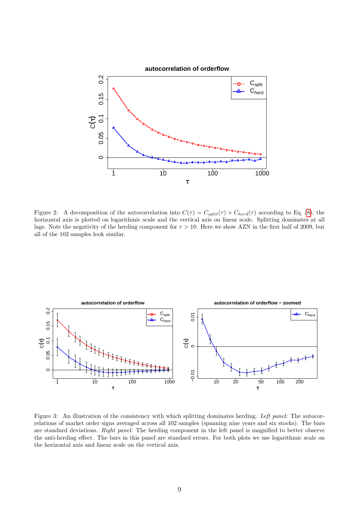

<span id="page-8-0"></span>Figure 2: A decomposition of the autocorrelation into  $C(\tau) = C_{split}(\tau) + C_{herd}(\tau)$  according to Eq. [\(8\)](#page-6-1); the horizontal axis is plotted on logarithmic scale and the vertical axis on linear scale. Splitting dominates at all lags. Note the negativity of the herding component for  $\tau > 10$ . Here we show AZN in the first half of 2009, but all of the 102 samples look similar.



<span id="page-8-1"></span>Figure 3: An illustration of the consistency with which splitting dominates herding. Left panel: The autocorrelations of market order signs averaged across all 102 samples (spanning nine years and six stocks). The bars are standard deviations. Right panel: The herding component in the left panel is magnified to better observe the anti-herding effect. The bars in this panel are standard errors. For both plots we use logarithmic scale on the horizontal axis and linear scale on the vertical axis.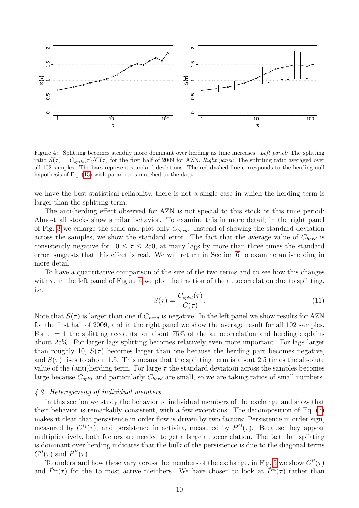

<span id="page-9-1"></span>Figure 4: Splitting becomes steadily more dominant over herding as time increases. Left panel: The splitting ratio  $S(\tau) = C_{split}(\tau)/C(\tau)$  for the first half of 2009 for AZN. Right panel: The splitting ratio averaged over all 102 samples. The bars represent standard deviations. The red dashed line corresponds to the herding null hypothesis of Eq. [\(15\)](#page-13-1) with parameters matched to the data.

we have the best statistical reliability, there is not a single case in which the herding term is larger than the splitting term.

The anti-herding effect observed for AZN is not special to this stock or this time period: Almost all stocks show similar behavior. To examine this in more detail, in the right panel of Fig. [3](#page-8-1) we enlarge the scale and plot only  $C_{herd}$ . Instead of showing the standard deviation across the samples, we show the standard error. The fact that the average value of  $C_{herd}$  is consistently negative for  $10 \leq \tau \leq 250$ , at many lags by more than three times the standard error, suggests that this effect is real. We will return in Section [6](#page-18-0) to examine anti-herding in more detail.

To have a quantitative comparison of the size of the two terms and to see how this changes with  $\tau$ , in the left panel of Figure [4](#page-9-1) we plot the fraction of the autocorrelation due to splitting, i.e.

$$
S(\tau) = \frac{C_{split}(\tau)}{C(\tau)}.\tag{11}
$$

Note that  $S(\tau)$  is larger than one if  $C_{herd}$  is negative. In the left panel we show results for AZN for the first half of 2009, and in the right panel we show the average result for all 102 samples. For  $\tau = 1$  the splitting accounts for about 75% of the autocorrelation and herding explains about 25%. For larger lags splitting becomes relatively even more important. For lags larger than roughly 10,  $S(\tau)$  becomes larger than one because the herding part becomes negative, and  $S(\tau)$  rises to about 1.5. This means that the splitting term is about 2.5 times the absolute value of the (anti)herding term. For large  $\tau$  the standard deviation across the samples becomes large because  $C_{split}$  and particularly  $C_{herd}$  are small, so we are taking ratios of small numbers.

## <span id="page-9-0"></span>4.2. Heterogeneity of individual members

In this section we study the behavior of individual members of the exchange and show that their behavior is remarkably consistent, with a few exceptions. The decomposition of Eq. [\(7\)](#page-6-0) makes it clear that persistence in order flow is driven by two factors: Persistence in order sign, measured by  $C^{ij}(\tau)$ , and persistence in activity, measured by  $P^{ij}(\tau)$ . Because they appear multiplicatively, both factors are needed to get a large autocorrelation. The fact that splitting is dominant over herding indicates that the bulk of the persistence is due to the diagonal terms  $C^{ii}(\tau)$  and  $P^{ii}(\tau)$ .

To understand how these vary across the members of the exchange, in Fig. [5](#page-10-0) we show  $C^{ii}(\tau)$ and  $\tilde{P}^{ii}(\tau)$  for the 15 most active members. We have chosen to look at  $\tilde{P}^{ii}(\tau)$  rather than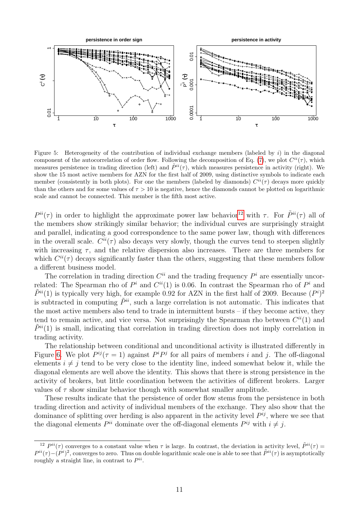

<span id="page-10-0"></span>Figure 5: Heterogeneity of the contribution of individual exchange members (labeled by  $i$ ) in the diagonal component of the autocorrelation of order flow. Following the decomposition of Eq. [\(7\)](#page-6-0), we plot  $C^{ii}(\tau)$ , which measures persistence in trading direction (left) and  $\tilde{P}^{ii}(\tau)$ , which measures persistence in activity (right). We show the 15 most active members for AZN for the first half of 2009, using distinctive symbols to indicate each member (consistently in both plots). For one the members (labeled by diamonds)  $C^{ii}(\tau)$  decays more quickly than the others and for some values of  $\tau > 10$  is negative, hence the diamonds cannot be plotted on logarithmic scale and cannot be connected. This member is the fifth most active.

 $P^{ii}(\tau)$  in order to highlight the approximate power law behavior<sup>[12](#page-10-1)</sup> with  $\tau$ . For  $\tilde{P}^{ii}(\tau)$  all of the members show strikingly similar behavior; the individual curves are surprisingly straight and parallel, indicating a good correspondence to the same power law, though with differences in the overall scale.  $C^{ii}(\tau)$  also decays very slowly, though the curves tend to steepen slightly with increasing  $\tau$ , and the relative dispersion also increases. There are three members for which  $C^{ii}(\tau)$  decays significantly faster than the others, suggesting that these members follow a different business model.

The correlation in trading direction  $C^{ii}$  and the trading frequency  $P^i$  are essentially uncorrelated: The Spearman rho of  $P^i$  and  $C^{ii}(1)$  is 0.06. In contrast the Spearman rho of  $P^i$  and  $\tilde{P}^{ii}(1)$  is typically very high, for example 0.92 for AZN in the first half of 2009. Because  $(P^{i})^{2}$ is subtracted in computing  $\tilde{P}^{ii}$ , such a large correlation is not automatic. This indicates that the most active members also tend to trade in intermittent bursts – if they become active, they tend to remain active, and vice versa. Not surprisingly the Spearman rho between  $C^{ii}(1)$  and  $\tilde{P}^{ii}(1)$  is small, indicating that correlation in trading direction does not imply correlation in trading activity.

The relationship between conditional and unconditional activity is illustrated differently in Figure [6.](#page-11-2) We plot  $P^{ij}(\tau=1)$  against  $P^i P^j$  for all pairs of members i and j. The off-diagonal elements  $i \neq j$  tend to be very close to the identity line, indeed somewhat below it, while the diagonal elements are well above the identity. This shows that there is strong persistence in the activity of brokers, but little coordination between the activities of different brokers. Larger values of  $\tau$  show similar behavior though with somewhat smaller amplitude.

These results indicate that the persistence of order flow stems from the persistence in both trading direction and activity of individual members of the exchange. They also show that the dominance of splitting over herding is also apparent in the activity level  $P^{ij}$ , where we see that the diagonal elements  $P^{ii}$  dominate over the off-diagonal elements  $P^{ij}$  with  $i \neq j$ .

<span id="page-10-1"></span><sup>&</sup>lt;sup>12</sup>  $P^{ii}(\tau)$  converges to a constant value when  $\tau$  is large. In contrast, the deviation in activity level,  $\tilde{P}^{ii}(\tau)$  =  $P^{ii}(\tau)-(P^i)^2$ , converges to zero. Thus on double logarithmic scale one is able to see that  $\tilde{P}^{ii}(\tau)$  is asymptotically roughly a straight line, in contrast to  $P^{ii}$ .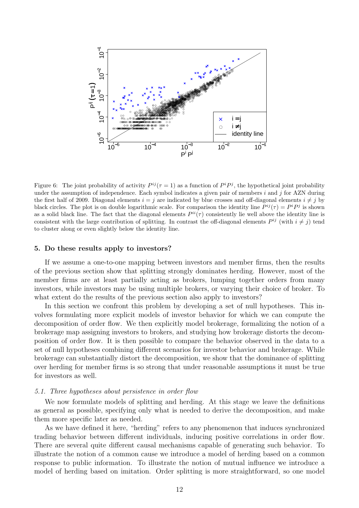

<span id="page-11-2"></span>Figure 6: The joint probability of activity  $P^{ij}(\tau=1)$  as a function of  $P^i P^j$ , the hypothetical joint probability under the assumption of independence. Each symbol indicates a given pair of members  $i$  and  $j$  for AZN during the first half of 2009. Diagonal elements  $i = j$  are indicated by blue crosses and off-diagonal elements  $i \neq j$  by black circles. The plot is on double logarithmic scale. For comparison the identity line  $P^{ij}(\tau) = P^{i}P^{j}$  is shown as a solid black line. The fact that the diagonal elements  $P^{ii}(\tau)$  consistently lie well above the identity line is consistent with the large contribution of splitting. In contrast the off-diagonal elements  $P^{ij}$  (with  $i \neq j$ ) tend to cluster along or even slightly below the identity line.

#### <span id="page-11-0"></span>5. Do these results apply to investors?

If we assume a one-to-one mapping between investors and member firms, then the results of the previous section show that splitting strongly dominates herding. However, most of the member firms are at least partially acting as brokers, lumping together orders from many investors, while investors may be using multiple brokers, or varying their choice of broker. To what extent do the results of the previous section also apply to investors?

In this section we confront this problem by developing a set of null hypotheses. This involves formulating more explicit models of investor behavior for which we can compute the decomposition of order flow. We then explicitly model brokerage, formalizing the notion of a brokerage map assigning investors to brokers, and studying how brokerage distorts the decomposition of order flow. It is then possible to compare the behavior observed in the data to a set of null hypotheses combining different scenarios for investor behavior and brokerage. While brokerage can substantially distort the decomposition, we show that the dominance of splitting over herding for member firms is so strong that under reasonable assumptions it must be true for investors as well.

## <span id="page-11-1"></span>5.1. Three hypotheses about persistence in order flow

We now formulate models of splitting and herding. At this stage we leave the definitions as general as possible, specifying only what is needed to derive the decomposition, and make them more specific later as needed.

As we have defined it here, "herding" refers to any phenomenon that induces synchronized trading behavior between different individuals, inducing positive correlations in order flow. There are several quite different causal mechanisms capable of generating such behavior. To illustrate the notion of a common cause we introduce a model of herding based on a common response to public information. To illustrate the notion of mutual influence we introduce a model of herding based on imitation. Order splitting is more straightforward, so one model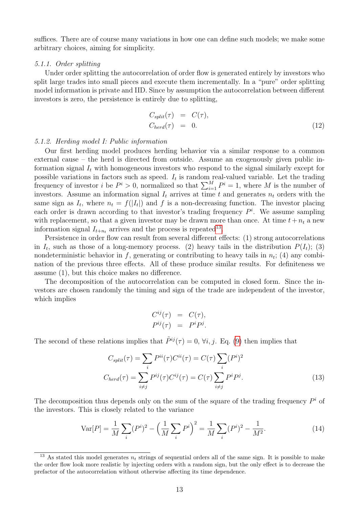suffices. There are of course many variations in how one can define such models; we make some arbitrary choices, aiming for simplicity.

# <span id="page-12-0"></span>5.1.1. Order splitting

Under order splitting the autocorrelation of order flow is generated entirely by investors who split large trades into small pieces and execute them incrementally. In a "pure" order splitting model information is private and IID. Since by assumption the autocorrelation between different investors is zero, the persistence is entirely due to splitting,

$$
C_{split}(\tau) = C(\tau),
$$
  
\n
$$
C_{herd}(\tau) = 0.
$$
\n(12)

# <span id="page-12-1"></span>5.1.2. Herding model I: Public information

Our first herding model produces herding behavior via a similar response to a common external cause – the herd is directed from outside. Assume an exogenously given public information signal  $I_t$  with homogeneous investors who respond to the signal similarly except for possible variations in factors such as speed.  $I_t$  is random real-valued variable. Let the trading frequency of investor *i* be  $P^i > 0$ , normalized so that  $\sum_{i=1}^{M} P^i = 1$ , where *M* is the number of investors. Assume an information signal  $I_t$  arrives at time t and generates  $n_t$  orders with the same sign as  $I_t$ , where  $n_t = f(|I_t|)$  and f is a non-decreasing function. The investor placing each order is drawn according to that investor's trading frequency  $P^i$ . We assume sampling with replacement, so that a given investor may be drawn more than once. At time  $t+n_t$  a new information signal  $I_{t+n_t}$  arrives and the process is repeated<sup>[13](#page-12-2)</sup>.

Persistence in order flow can result from several different effects: (1) strong autocorrelations in  $I_t$ , such as those of a long-memory process. (2) heavy tails in the distribution  $P(I_t)$ ; (3) nondeterministic behavior in f, generating or contributing to heavy tails in  $n_t$ ; (4) any combination of the previous three effects. All of these produce similar results. For definiteness we assume (1), but this choice makes no difference.

The decomposition of the autocorrelation can be computed in closed form. Since the investors are chosen randomly the timing and sign of the trade are independent of the investor, which implies

$$
C^{ij}(\tau) = C(\tau),
$$
  

$$
P^{ij}(\tau) = P^i P^j.
$$

The second of these relations implies that  $\tilde{P}^{ij}(\tau) = 0$ ,  $\forall i, j$ . Eq. [\(9\)](#page-6-2) then implies that

<span id="page-12-3"></span>
$$
C_{split}(\tau) = \sum_{i} P^{ii}(\tau) C^{ii}(\tau) = C(\tau) \sum_{i} (P^{i})^{2}
$$

$$
C_{herd}(\tau) = \sum_{i \neq j} P^{ij}(\tau) C^{ij}(\tau) = C(\tau) \sum_{i \neq j} P^{i} P^{j}.
$$
(13)

The decomposition thus depends only on the sum of the square of the trading frequency  $P^i$  of the investors. This is closely related to the variance

$$
\text{Var}[P] = \frac{1}{M} \sum_{i} (P^{i})^{2} - \left(\frac{1}{M} \sum_{i} P^{i}\right)^{2} = \frac{1}{M} \sum_{i} (P^{i})^{2} - \frac{1}{M^{2}}.
$$
 (14)

<span id="page-12-2"></span><sup>&</sup>lt;sup>13</sup> As stated this model generates  $n_t$  strings of sequential orders all of the same sign. It is possible to make the order flow look more realistic by injecting orders with a random sign, but the only effect is to decrease the prefactor of the autocorrelation without otherwise affecting its time dependence.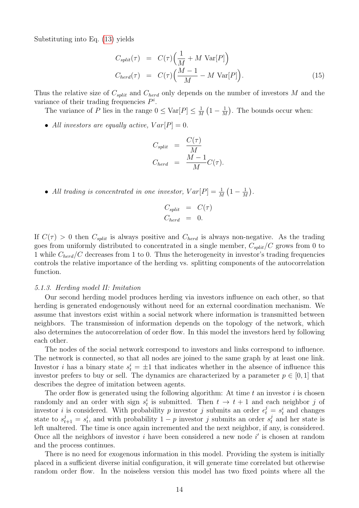Substituting into Eq. [\(13\)](#page-12-3) yields

<span id="page-13-1"></span>
$$
C_{split}(\tau) = C(\tau) \left( \frac{1}{M} + M \operatorname{Var}[P] \right)
$$
  
\n
$$
C_{herd}(\tau) = C(\tau) \left( \frac{M-1}{M} - M \operatorname{Var}[P] \right).
$$
\n(15)

Thus the relative size of  $C_{split}$  and  $C_{herd}$  only depends on the number of investors M and the variance of their trading frequencies  $P^i$ .

The variance of P lies in the range  $0 \leq \text{Var}[P] \leq \frac{1}{h}$  $\frac{1}{M}\left(1-\frac{1}{M}\right)$  $\frac{1}{M}$ ). The bounds occur when:

• All investors are equally active,  $Var[P] = 0$ .

$$
C_{split} = \frac{C(\tau)}{M}
$$
  
\n
$$
C_{herd} = \frac{M-1}{M}C(\tau).
$$

• All trading is concentrated in one investor,  $Var[P] = \frac{1}{M} \left(1 - \frac{1}{M}\right)$  $\frac{1}{M}$ .

$$
C_{split} = C(\tau)
$$
  

$$
C_{herd} = 0.
$$

If  $C(\tau) > 0$  then  $C_{split}$  is always positive and  $C_{herd}$  is always non-negative. As the trading goes from uniformly distributed to concentrated in a single member,  $C_{split}/C$  grows from 0 to 1 while  $C_{herd}/C$  decreases from 1 to 0. Thus the heterogeneity in investor's trading frequencies controls the relative importance of the herding vs. splitting components of the autocorrelation function.

## <span id="page-13-0"></span>5.1.3. Herding model II: Imitation

Our second herding model produces herding via investors influence on each other, so that herding is generated endogenously without need for an external coordination mechanism. We assume that investors exist within a social network where information is transmitted between neighbors. The transmission of information depends on the topology of the network, which also determines the autocorrelation of order flow. In this model the investors herd by following each other.

The nodes of the social network correspond to investors and links correspond to influence. The network is connected, so that all nodes are joined to the same graph by at least one link. Investor *i* has a binary state  $s_t^i = \pm 1$  that indicates whether in the absence of influence this investor prefers to buy or sell. The dynamics are characterized by a parameter  $p \in [0, 1]$  that describes the degree of imitation between agents.

The order flow is generated using the following algorithm: At time  $t$  an investor  $i$  is chosen randomly and an order with sign  $s_t^i$  is submitted. Then  $t \to t + 1$  and each neighbor j of investor *i* is considered. With probability *p* investor *j* submits an order  $\epsilon_t^j = s_t^i$  and changes state to  $s_{t+1}^j = s_t^i$ , and with probability  $1-p$  investor j submits an order  $s_t^j$  and her state is left unaltered. The time is once again incremented and the next neighbor, if any, is considered. Once all the neighbors of investor  $i$  have been considered a new node  $i'$  is chosen at random and the process continues.

There is no need for exogenous information in this model. Providing the system is initially placed in a sufficient diverse initial configuration, it will generate time correlated but otherwise random order flow. In the noiseless version this model has two fixed points where all the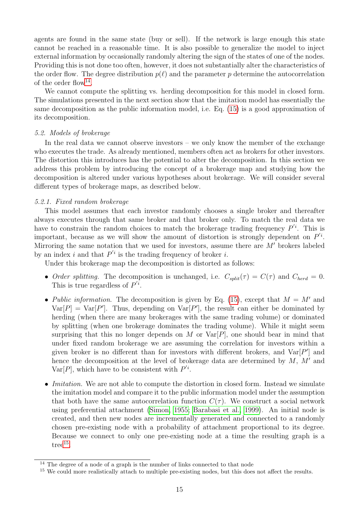agents are found in the same state (buy or sell). If the network is large enough this state cannot be reached in a reasonable time. It is also possible to generalize the model to inject external information by occasionally randomly altering the sign of the states of one of the nodes. Providing this is not done too often, however, it does not substantially alter the characteristics of the order flow. The degree distribution  $p(\ell)$  and the parameter p determine the autocorrelation of the order flow<sup>[14](#page-14-2)</sup>.

We cannot compute the splitting vs. herding decomposition for this model in closed form. The simulations presented in the next section show that the imitation model has essentially the same decomposition as the public information model, i.e. Eq. [\(15\)](#page-13-1) is a good approximation of its decomposition.

# <span id="page-14-0"></span>5.2. Models of brokerage

In the real data we cannot observe investors – we only know the member of the exchange who executes the trade. As already mentioned, members often act as brokers for other investors. The distortion this introduces has the potential to alter the decomposition. In this section we address this problem by introducing the concept of a brokerage map and studying how the decomposition is altered under various hypotheses about brokerage. We will consider several different types of brokerage maps, as described below.

# <span id="page-14-1"></span>5.2.1. Fixed random brokerage

This model assumes that each investor randomly chooses a single broker and thereafter always executes through that same broker and that broker only. To match the real data we have to constrain the random choices to match the brokerage trading frequency  $P'^i$ . This is important, because as we will show the amount of distortion is strongly dependent on  $P'$ . Mirroring the same notation that we used for investors, assume there are  $M'$  brokers labeled by an index i and that  $P'$  is the trading frequency of broker i.

Under this brokerage map the decomposition is distorted as follows:

- Order splitting. The decomposition is unchanged, i.e.  $C_{split}(\tau) = C(\tau)$  and  $C_{herd} = 0$ . This is true regardless of  $P^{i}$ .
- Public information. The decomposition is given by Eq. [\(15\)](#page-13-1), except that  $M = M'$  and  $Var[P] = Var[P']$ . Thus, depending on  $Var[P']$ , the result can either be dominated by herding (when there are many brokerages with the same trading volume) or dominated by splitting (when one brokerage dominates the trading volume). While it might seem surprising that this no longer depends on M or  $Var[P]$ , one should bear in mind that under fixed random brokerage we are assuming the correlation for investors within a given broker is no different than for investors with different brokers, and  $Var[P']$  and hence the decomposition at the level of brokerage data are determined by  $M$ ,  $M'$  and Var $[P]$ , which have to be consistent with  $P'$ <sup>i</sup>.
- *Imitation*. We are not able to compute the distortion in closed form. Instead we simulate the imitation model and compare it to the public information model under the assumption that both have the same autocorrelation function  $C(\tau)$ . We construct a social network using preferential attachment [\(Simon, 1955;](#page-24-8) [Barabasi et al., 1999\)](#page-22-10). An initial node is created, and then new nodes are incrementally generated and connected to a randomly chosen pre-existing node with a probability of attachment proportional to its degree. Because we connect to only one pre-existing node at a time the resulting graph is a  $\text{tree}^{15}$  $\text{tree}^{15}$  $\text{tree}^{15}$ .

<span id="page-14-2"></span> $14$  The degree of a node of a graph is the number of links connected to that node

<span id="page-14-3"></span><sup>&</sup>lt;sup>15</sup> We could more realistically attach to multiple pre-existing nodes, but this does not affect the results.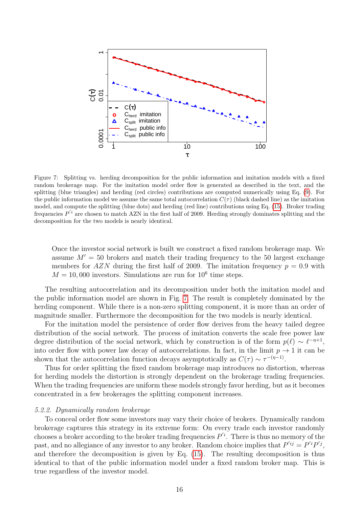

<span id="page-15-1"></span>Figure 7: Splitting vs. herding decomposition for the public information and imitation models with a fixed random brokerage map. For the imitation model order flow is generated as described in the text, and the splitting (blue triangles) and herding (red circles) contributions are computed numerically using Eq. [\(9\)](#page-6-2). For the public information model we assume the same total autocorrelation  $C(\tau)$  (black dashed line) as the imitation model, and compute the splitting (blue dots) and herding (red line) contributions using Eq. [\(15\)](#page-13-1). Broker trading frequencies  $P^{'i}$  are chosen to match AZN in the first half of 2009. Herding strongly dominates splitting and the decomposition for the two models is nearly identical.

Once the investor social network is built we construct a fixed random brokerage map. We assume  $M' = 50$  brokers and match their trading frequency to the 50 largest exchange members for AZN during the first half of 2009. The imitation frequency  $p = 0.9$  with  $M = 10,000$  investors. Simulations are run for  $10^6$  time steps.

The resulting autocorrelation and its decomposition under both the imitation model and the public information model are shown in Fig. [7.](#page-15-1) The result is completely dominated by the herding component. While there is a non-zero splitting component, it is more than an order of magnitude smaller. Furthermore the decomposition for the two models is nearly identical.

For the imitation model the persistence of order flow derives from the heavy tailed degree distribution of the social network. The process of imitation converts the scale free power law degree distribution of the social network, which by construction is of the form  $p(\ell) \sim \ell^{-\eta+1}$ , into order flow with power law decay of autocorrelations. In fact, in the limit  $p \to 1$  it can be shown that the autocorrelation function decays asymptotically as  $C(\tau) \sim \tau^{-(\eta-1)}$ .

Thus for order splitting the fixed random brokerage map introduces no distortion, whereas for herding models the distortion is strongly dependent on the brokerage trading frequencies. When the trading frequencies are uniform these models strongly favor herding, but as it becomes concentrated in a few brokerages the splitting component increases.

# <span id="page-15-0"></span>5.2.2. Dynamically random brokerage

To conceal order flow some investors may vary their choice of brokers. Dynamically random brokerage captures this strategy in its extreme form: On every trade each investor randomly chooses a broker according to the broker trading frequencies  $P^{'i}$ . There is thus no memory of the past, and no allegiance of any investor to any broker. Random choice implies that  $P^{'ij} = P^{'i}P^{'j}$ , and therefore the decomposition is given by Eq. [\(15\)](#page-13-1). The resulting decomposition is thus identical to that of the public information model under a fixed random broker map. This is true regardless of the investor model.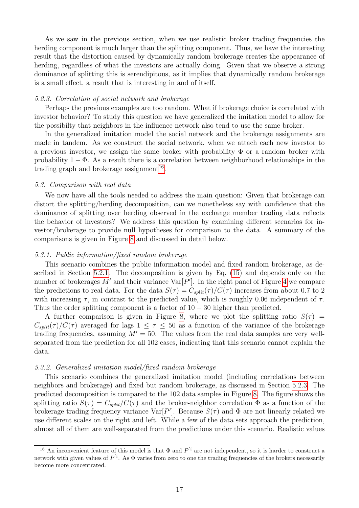As we saw in the previous section, when we use realistic broker trading frequencies the herding component is much larger than the splitting component. Thus, we have the interesting result that the distortion caused by dynamically random brokerage creates the appearance of herding, regardless of what the investors are actually doing. Given that we observe a strong dominance of splitting this is serendipitous, as it implies that dynamically random brokerage is a small effect, a result that is interesting in and of itself.

## <span id="page-16-0"></span>5.2.3. Correlation of social network and brokerage

Perhaps the previous examples are too random. What if brokerage choice is correlated with investor behavior? To study this question we have generalized the imitation model to allow for the possibilty that neighbors in the influence network also tend to use the same broker.

In the generalized imitation model the social network and the brokerage assignments are made in tandem. As we construct the social network, when we attach each new investor to a previous investor, we assign the same broker with probability  $\Phi$  or a random broker with probability  $1 - \Phi$ . As a result there is a correlation between neighborhood relationships in the trading graph and brokerage assignment<sup>[16](#page-16-4)</sup>.

## <span id="page-16-1"></span>5.3. Comparison with real data

We now have all the tools needed to address the main question: Given that brokerage can distort the splitting/herding decomposition, can we nonetheless say with confidence that the dominance of splitting over herding observed in the exchange member trading data reflects the behavior of investors? We address this question by examining different scenarios for investor/brokerage to provide null hypotheses for comparison to the data. A summary of the comparisons is given in Figure [8](#page-17-2) and discussed in detail below.

## <span id="page-16-2"></span>5.3.1. Public information/fixed random brokerage

This scenario combines the public information model and fixed random brokerage, as described in Section [5.2.1.](#page-14-1) The decomposition is given by Eq. [\(15\)](#page-13-1) and depends only on the number of brokerages M' and their variance  $Var[P']$ . In the right panel of Figure [4](#page-9-1) we compare the predictions to real data. For the data  $S(\tau) = C_{split}(\tau)/C(\tau)$  increases from about 0.7 to 2 with increasing  $\tau$ , in contrast to the predicted value, which is roughly 0.06 independent of  $\tau$ . Thus the order splitting component is a factor of  $10 - 30$  higher than predicted.

A further comparison is given in Figure [8,](#page-17-2) where we plot the splitting ratio  $S(\tau)$  =  $C_{split}(\tau)/C(\tau)$  averaged for lags  $1 \leq \tau \leq 50$  as a function of the variance of the brokerage trading frequencies, assuming  $M' = 50$ . The values from the real data samples are very wellseparated from the prediction for all 102 cases, indicating that this scenario cannot explain the data.

## <span id="page-16-3"></span>5.3.2. Generalized imitation model/fixed random brokerage

This scenario combines the generalized imitation model (including correlations between neighbors and brokerage) and fixed but random brokerage, as discussed in Section [5.2.3.](#page-16-0) The predicted decomposition is compared to the 102 data samples in Figure [8.](#page-17-2) The figure shows the splitting ratio  $S(\tau) = C_{split}/C(\tau)$  and the broker-neighbor correlation  $\Phi$  as a function of the brokerage trading frequency variance  $Var[P']$ . Because  $S(\tau)$  and  $\Phi$  are not linearly related we use different scales on the right and left. While a few of the data sets approach the prediction, almost all of them are well-separated from the predictions under this scenario. Realistic values

<span id="page-16-4"></span><sup>&</sup>lt;sup>16</sup> An inconvenient feature of this model is that  $\Phi$  and  $P'{}^i$  are not independent, so it is harder to construct a network with given values of  $P^{'i}$ . As  $\Phi$  varies from zero to one the trading frequencies of the brokers necessarily become more concentrated.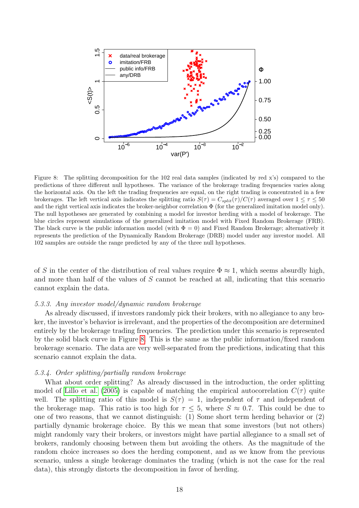

<span id="page-17-2"></span>Figure 8: The splitting decomposition for the 102 real data samples (indicated by red x's) compared to the predictions of three different null hypotheses. The variance of the brokerage trading frequencies varies along the horizontal axis. On the left the trading frequencies are equal, on the right trading is concentrated in a few brokerages. The left vertical axis indicates the splitting ratio  $S(\tau) = C_{split}(\tau)/C(\tau)$  averaged over  $1 \leq \tau \leq 50$ and the right vertical axis indicates the broker-neighbor correlation  $\Phi$  (for the generalized imitation model only). The null hypotheses are generated by combining a model for investor herding with a model of brokerage. The blue circles represent simulations of the generalized imitation model with Fixed Random Brokerage (FRB). The black curve is the public information model (with  $\Phi = 0$ ) and Fixed Random Brokerage; alternatively it represents the prediction of the Dynamically Random Brokerage (DRB) model under any investor model. All 102 samples are outside the range predicted by any of the three null hypotheses.

of S in the center of the distribution of real values require  $\Phi \approx 1$ , which seems absurdly high, and more than half of the values of S cannot be reached at all, indicating that this scenario cannot explain the data.

# <span id="page-17-0"></span>5.3.3. Any investor model/dynamic random brokerage

As already discussed, if investors randomly pick their brokers, with no allegiance to any broker, the investor's behavior is irrelevant, and the properties of the decomposition are determined entirely by the brokerage trading frequencies. The prediction under this scenario is represented by the solid black curve in Figure [8.](#page-17-2) This is the same as the public information/fixed random brokerage scenario. The data are very well-separated from the predictions, indicating that this scenario cannot explain the data.

# <span id="page-17-1"></span>5.3.4. Order splitting/partially random brokerage

What about order splitting? As already discussed in the introduction, the order splitting model of [Lillo et al.](#page-23-8) [\(2005\)](#page-23-8) is capable of matching the empirical autocorrelation  $C(\tau)$  quite well. The splitting ratio of this model is  $S(\tau) = 1$ , independent of  $\tau$  and independent of the brokerage map. This ratio is too high for  $\tau \leq 5$ , where  $S \approx 0.7$ . This could be due to one of two reasons, that we cannot distinguish: (1) Some short term herding behavior or (2) partially dynamic brokerage choice. By this we mean that some investors (but not others) might randomly vary their brokers, or investors might have partial allegiance to a small set of brokers, randomly choosing between them but avoiding the others. As the magnitude of the random choice increases so does the herding component, and as we know from the previous scenario, unless a single brokerage dominates the trading (which is not the case for the real data), this strongly distorts the decomposition in favor of herding.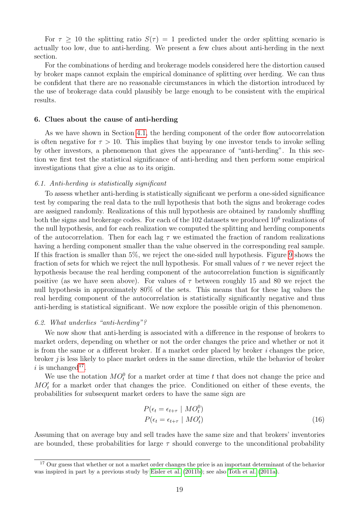For  $\tau \geq 10$  the splitting ratio  $S(\tau) = 1$  predicted under the order splitting scenario is actually too low, due to anti-herding. We present a few clues about anti-herding in the next section.

For the combinations of herding and brokerage models considered here the distortion caused by broker maps cannot explain the empirical dominance of splitting over herding. We can thus be confident that there are no reasonable circumstances in which the distortion introduced by the use of brokerage data could plausibly be large enough to be consistent with the empirical results.

# <span id="page-18-0"></span>6. Clues about the cause of anti-herding

As we have shown in Section [4.1,](#page-7-1) the herding component of the order flow autocorrelation is often negative for  $\tau > 10$ . This implies that buying by one investor tends to invoke selling by other investors, a phenomenon that gives the appearance of "anti-herding". In this section we first test the statistical significance of anti-herding and then perform some empirical investigations that give a clue as to its origin.

## <span id="page-18-1"></span>6.1. Anti-herding is statistically significant

To assess whether anti-herding is statistically significant we perform a one-sided significance test by comparing the real data to the null hypothesis that both the signs and brokerage codes are assigned randomly. Realizations of this null hypothesis are obtained by randomly shuffling both the signs and brokerage codes. For each of the  $102$  datasets we produced  $10^6$  realizations of the null hypothesis, and for each realization we computed the splitting and herding components of the autocorrelation. Then for each lag  $\tau$  we estimated the fraction of random realizations having a herding component smaller than the value observed in the corresponding real sample. If this fraction is smaller than 5%, we reject the one-sided null hypothesis. Figure [9](#page-19-0) shows the fraction of sets for which we reject the null hypothesis. For small values of  $\tau$  we never reject the hypothesis because the real herding component of the autocorrelation function is significantly positive (as we have seen above). For values of  $\tau$  between roughly 15 and 80 we reject the null hypothesis in approximately 80% of the sets. This means that for these lag values the real herding component of the autocorrelation is statistically significantly negative and thus anti-herding is statistical significant. We now explore the possible origin of this phenomenon.

## <span id="page-18-2"></span>6.2. What underlies "anti-herding"?

We now show that anti-herding is associated with a difference in the response of brokers to market orders, depending on whether or not the order changes the price and whether or not it is from the same or a different broker. If a market order placed by broker  $i$  changes the price, broker j is less likely to place market orders in the same direction, while the behavior of broker i is unchanged<sup>[17](#page-18-3)</sup>.

We use the notation  $MO_t^0$  for a market order at time t that does not change the price and  $MO<sub>t</sub>$  for a market order that changes the price. Conditioned on either of these events, the probabilities for subsequent market orders to have the same sign are

$$
P(\epsilon_t = \epsilon_{t+\tau} \mid MO_t^0)
$$
  
\n
$$
P(\epsilon_t = \epsilon_{t+\tau} \mid MO_t^{\prime})
$$
\n(16)

Assuming that on average buy and sell trades have the same size and that brokers' inventories are bounded, these probabilities for large  $\tau$  should converge to the unconditional probability

<span id="page-18-3"></span><sup>&</sup>lt;sup>17</sup> Our guess that whether or not a market order changes the price is an important determinant of the behavior was inspired in part by a previous study by [Eisler et al.](#page-23-18) [\(2011b\)](#page-23-18); see also [Toth et al.](#page-24-9) [\(2011a\)](#page-24-9).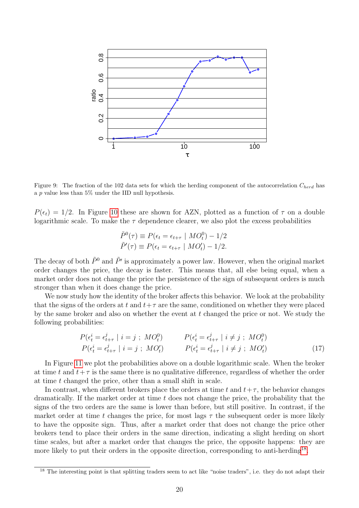

<span id="page-19-0"></span>Figure 9: The fraction of the 102 data sets for which the herding component of the autocorrelation  $C_{herd}$  has a  $p$  value less than 5% under the IID null hypothesis.

 $P(\epsilon_t) = 1/2$ . In Figure [10](#page-20-0) these are shown for AZN, plotted as a function of  $\tau$  on a double logarithmic scale. To make the  $\tau$  dependence clearer, we also plot the excess probabilities

$$
\tilde{P}^{0}(\tau) \equiv P(\epsilon_{t} = \epsilon_{t+\tau} \mid MO_{t}^{0}) - 1/2
$$
  

$$
\tilde{P}'(\tau) \equiv P(\epsilon_{t} = \epsilon_{t+\tau} \mid MO_{t}^{\prime}) - 1/2.
$$

The decay of both  $\tilde{P}^0$  and  $\tilde{P'}$  is approximately a power law. However, when the original market order changes the price, the decay is faster. This means that, all else being equal, when a market order does not change the price the persistence of the sign of subsequent orders is much stronger than when it does change the price.

We now study how the identity of the broker affects this behavior. We look at the probability that the signs of the orders at t and  $t+\tau$  are the same, conditioned on whether they were placed by the same broker and also on whether the event at t changed the price or not. We study the following probabilities:

<span id="page-19-2"></span>
$$
P(\epsilon_t^i = \epsilon_{t+\tau}^j \mid i = j ; MO_t^0) \qquad P(\epsilon_t^i = \epsilon_{t+\tau}^j \mid i \neq j ; MO_t^0) P(\epsilon_t^i = \epsilon_{t+\tau}^j \mid i = j ; MO_t') \qquad P(\epsilon_t^i = \epsilon_{t+\tau}^j \mid i \neq j ; MO_t') P(\epsilon_t^i = \epsilon_{t+\tau}^j \mid i \neq j ; MO_t') \qquad (17)
$$

In Figure [11](#page-20-1) we plot the probabilities above on a double logarithmic scale. When the broker at time t and  $t+\tau$  is the same there is no qualitative difference, regardless of whether the order at time t changed the price, other than a small shift in scale.

In contrast, when different brokers place the orders at time t and  $t+\tau$ , the behavior changes dramatically. If the market order at time  $t$  does not change the price, the probability that the signs of the two orders are the same is lower than before, but still positive. In contrast, if the market order at time t changes the price, for most lags  $\tau$  the subsequent order is more likely to have the opposite sign. Thus, after a market order that does not change the price other brokers tend to place their orders in the same direction, indicating a slight herding on short time scales, but after a market order that changes the price, the opposite happens: they are more likely to put their orders in the opposite direction, corresponding to anti-herding<sup>[18](#page-19-1)</sup>.

<span id="page-19-1"></span><sup>&</sup>lt;sup>18</sup> The interesting point is that splitting traders seem to act like "noise traders", i.e. they do not adapt their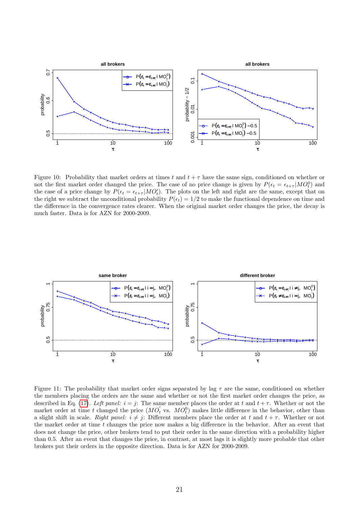

<span id="page-20-0"></span>Figure 10: Probability that market orders at times t and  $t + \tau$  have the same sign, conditioned on whether or not the first market order changed the price. The case of no price change is given by  $P(\epsilon_t = \epsilon_{t+\tau} | MO_t^0)$  and the case of a price change by  $P(\epsilon_t = \epsilon_{t+\tau} | MO_t)$ . The plots on the left and right are the same, except that on the right we subtract the unconditional probability  $P(\epsilon_t) = 1/2$  to make the functional dependence on time and the difference in the convergence rates clearer. When the original market order changes the price, the decay is much faster. Data is for AZN for 2000-2009.



<span id="page-20-1"></span>Figure 11: The probability that market order signs separated by lag  $\tau$  are the same, conditioned on whether the members placing the orders are the same and whether or not the first market order changes the price, as described in Eq. [\(17\)](#page-19-2). Left panel:  $i = j$ : The same member places the order at t and  $t + \tau$ . Whether or not the market order at time t changed the price  $(MO_t^{'})$  vs.  $MO_t^0$  makes little difference in the behavior, other than a slight shift in scale. Right panel:  $i \neq j$ : Different members place the order at t and  $t + \tau$ . Whether or not the market order at time t changes the price now makes a big difference in the behavior. After an event that does not change the price, other brokers tend to put their order in the same direction with a probability higher than 0.5. After an event that changes the price, in contrast, at most lags it is slightly more probable that other brokers put their orders in the opposite direction. Data is for AZN for 2000-2009.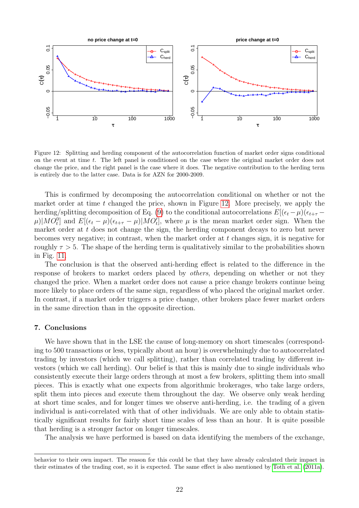

<span id="page-21-1"></span>Figure 12: Splitting and herding component of the autocorrelation function of market order signs conditional on the event at time t. The left panel is conditioned on the case where the original market order does not change the price, and the right panel is the case where it does. The negative contribution to the herding term is entirely due to the latter case. Data is for AZN for 2000-2009.

This is confirmed by decomposing the autocorrelation conditional on whether or not the market order at time  $t$  changed the price, shown in Figure [12.](#page-21-1) More precisely, we apply the herding/splitting decomposition of Eq. [\(9\)](#page-6-2) to the conditional autocorrelations  $E[(\epsilon_t - \mu)(\epsilon_{t+\tau} \mu$ )|MO<sup>0</sup>l and  $E[(\epsilon_t - \mu)(\epsilon_{t+\tau} - \mu)|MO_t]$ , where  $\mu$  is the mean market order sign. When the market order at t does not change the sign, the herding component decays to zero but never becomes very negative; in contrast, when the market order at  $t$  changes sign, it is negative for roughly  $\tau > 5$ . The shape of the herding term is qualitatively similar to the probabilities shown in Fig. [11.](#page-20-1)

The conclusion is that the observed anti-herding effect is related to the difference in the response of brokers to market orders placed by *others*, depending on whether or not they changed the price. When a market order does not cause a price change brokers continue being more likely to place orders of the same sign, regardless of who placed the original market order. In contrast, if a market order triggers a price change, other brokers place fewer market orders in the same direction than in the opposite direction.

# <span id="page-21-0"></span>7. Conclusions

We have shown that in the LSE the cause of long-memory on short timescales (corresponding to 500 transactions or less, typically about an hour) is overwhelmingly due to autocorrelated trading by investors (which we call splitting), rather than correlated trading by different investors (which we call herding). Our belief is that this is mainly due to single individuals who consistently execute their large orders through at most a few brokers, splitting them into small pieces. This is exactly what one expects from algorithmic brokerages, who take large orders, split them into pieces and execute them throughout the day. We observe only weak herding at short time scales, and for longer times we observe anti-herding, i.e. the trading of a given individual is anti-correlated with that of other individuals. We are only able to obtain statistically significant results for fairly short time scales of less than an hour. It is quite possible that herding is a stronger factor on longer timescales.

The analysis we have performed is based on data identifying the members of the exchange,

behavior to their own impact. The reason for this could be that they have already calculated their impact in their estimates of the trading cost, so it is expected. The same effect is also mentioned by [Toth et al.](#page-24-9) [\(2011a\)](#page-24-9).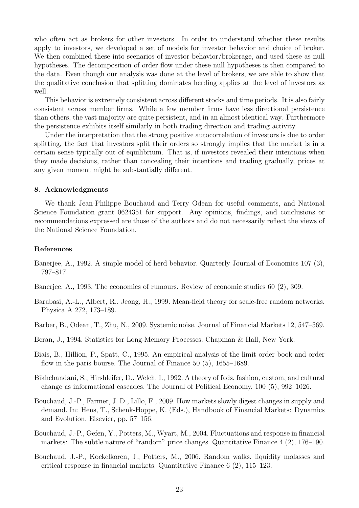who often act as brokers for other investors. In order to understand whether these results apply to investors, we developed a set of models for investor behavior and choice of broker. We then combined these into scenarios of investor behavior/brokerage, and used these as null hypotheses. The decomposition of order flow under these null hypotheses is then compared to the data. Even though our analysis was done at the level of brokers, we are able to show that the qualitative conclusion that splitting dominates herding applies at the level of investors as well.

This behavior is extremely consistent across different stocks and time periods. It is also fairly consistent across member firms. While a few member firms have less directional persistence than others, the vast majority are quite persistent, and in an almost identical way. Furthermore the persistence exhibits itself similarly in both trading direction and trading activity.

Under the interpretation that the strong positive autocorrelation of investors is due to order splitting, the fact that investors split their orders so strongly implies that the market is in a certain sense typically out of equilibrium. That is, if investors revealed their intentions when they made decisions, rather than concealing their intentions and trading gradually, prices at any given moment might be substantially different.

# <span id="page-22-0"></span>8. Acknowledgments

We thank Jean-Philippe Bouchaud and Terry Odean for useful comments, and National Science Foundation grant 0624351 for support. Any opinions, findings, and conclusions or recommendations expressed are those of the authors and do not necessarily reflect the views of the National Science Foundation.

## References

- <span id="page-22-6"></span>Banerjee, A., 1992. A simple model of herd behavior. Quarterly Journal of Economics 107 (3), 797–817.
- <span id="page-22-7"></span>Banerjee, A., 1993. The economics of rumours. Review of economic studies 60 (2), 309.
- <span id="page-22-10"></span>Barabasi, A.-L., Albert, R., Jeong, H., 1999. Mean-field theory for scale-free random networks. Physica A 272, 173–189.
- <span id="page-22-9"></span>Barber, B., Odean, T., Zhu, N., 2009. Systemic noise. Journal of Financial Markets 12, 547–569.
- <span id="page-22-5"></span>Beran, J., 1994. Statistics for Long-Memory Processes. Chapman & Hall, New York.
- <span id="page-22-1"></span>Biais, B., Hillion, P., Spatt, C., 1995. An empirical analysis of the limit order book and order flow in the paris bourse. The Journal of Finance 50 (5), 1655–1689.
- <span id="page-22-8"></span>Bikhchandani, S., Hirshleifer, D., Welch, I., 1992. A theory of fads, fashion, custom, and cultural change as informational cascades. The Journal of Political Economy, 100 (5), 992–1026.
- <span id="page-22-4"></span>Bouchaud, J.-P., Farmer, J. D., Lillo, F., 2009. How markets slowly digest changes in supply and demand. In: Hens, T., Schenk-Hoppe, K. (Eds.), Handbook of Financial Markets: Dynamics and Evolution. Elsevier, pp. 57–156.
- <span id="page-22-2"></span>Bouchaud, J.-P., Gefen, Y., Potters, M., Wyart, M., 2004. Fluctuations and response in financial markets: The subtle nature of "random" price changes. Quantitative Finance 4 (2), 176–190.
- <span id="page-22-3"></span>Bouchaud, J.-P., Kockelkoren, J., Potters, M., 2006. Random walks, liquidity molasses and critical response in financial markets. Quantitative Finance 6 (2), 115–123.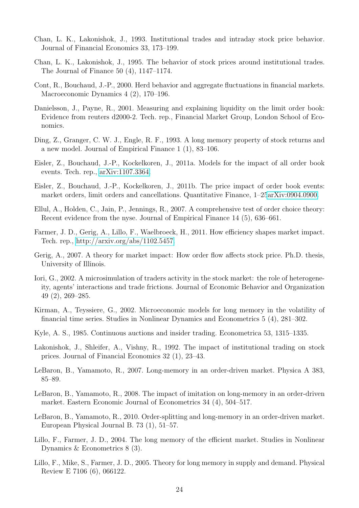- <span id="page-23-16"></span>Chan, L. K., Lakonishok, J., 1993. Institutional trades and intraday stock price behavior. Journal of Financial Economics 33, 173–199.
- <span id="page-23-17"></span>Chan, L. K., Lakonishok, J., 1995. The behavior of stock prices around institutional trades. The Journal of Finance 50 (4), 1147–1174.
- <span id="page-23-14"></span>Cont, R., Bouchaud, J.-P., 2000. Herd behavior and aggregate fluctuations in financial markets. Macroeconomic Dynamics 4 (2), 170–196.
- <span id="page-23-0"></span>Danielsson, J., Payne, R., 2001. Measuring and explaining liquidity on the limit order book: Evidence from reuters d2000-2. Tech. rep., Financial Market Group, London School of Economics.
- <span id="page-23-7"></span>Ding, Z., Granger, C. W. J., Engle, R. F., 1993. A long memory property of stock returns and a new model. Journal of Empirical Finance 1 (1), 83–106.
- <span id="page-23-5"></span>Eisler, Z., Bouchaud, J.-P., Kockelkoren, J., 2011a. Models for the impact of all order book events. Tech. rep., [arXiv:1107.3364.](http://arxiv.org/abs/1107.3364)
- <span id="page-23-18"></span>Eisler, Z., Bouchaud, J.-P., Kockelkoren, J., 2011b. The price impact of order book events: market orders, limit orders and cancellations. Quantitative Finance, 1–2[5arXiv:0904.0900.](http://arxiv.org/abs/0904.0900)
- <span id="page-23-1"></span>Ellul, A., Holden, C., Jain, P., Jennings, R., 2007. A comprehensive test of order choice theory: Recent evidence from the nyse. Journal of Empirical Finance 14 (5), 636–661.
- <span id="page-23-3"></span>Farmer, J. D., Gerig, A., Lillo, F., Waelbroeck, H., 2011. How efficiency shapes market impact. Tech. rep., [http://arxiv.org/abs/1102.5457.](http://arxiv.org/abs/1102.5457)
- <span id="page-23-4"></span>Gerig, A., 2007. A theory for market impact: How order flow affects stock price. Ph.D. thesis, University of Illinois.
- <span id="page-23-13"></span>Iori, G., 2002. A microsimulation of traders activity in the stock market: the role of heterogeneity, agents' interactions and trade frictions. Journal of Economic Behavior and Organization 49 (2), 269–285.
- <span id="page-23-12"></span>Kirman, A., Teyssiere, G., 2002. Microeconomic models for long memory in the volatility of financial time series. Studies in Nonlinear Dynamics and Econometrics 5 (4), 281–302.
- <span id="page-23-6"></span>Kyle, A. S., 1985. Continuous auctions and insider trading. Econometrica 53, 1315–1335.
- <span id="page-23-15"></span>Lakonishok, J., Shleifer, A., Vishny, R., 1992. The impact of institutional trading on stock prices. Journal of Financial Economics 32 (1), 23–43.
- <span id="page-23-10"></span>LeBaron, B., Yamamoto, R., 2007. Long-memory in an order-driven market. Physica A 383, 85–89.
- <span id="page-23-11"></span>LeBaron, B., Yamamoto, R., 2008. The impact of imitation on long-memory in an order-driven market. Eastern Economic Journal of Econometrics 34 (4), 504–517.
- <span id="page-23-9"></span>LeBaron, B., Yamamoto, R., 2010. Order-splitting and long-memory in an order-driven market. European Physical Journal B. 73 (1), 51–57.
- <span id="page-23-2"></span>Lillo, F., Farmer, J. D., 2004. The long memory of the efficient market. Studies in Nonlinear Dynamics & Econometrics 8 (3).
- <span id="page-23-8"></span>Lillo, F., Mike, S., Farmer, J. D., 2005. Theory for long memory in supply and demand. Physical Review E 7106 (6), 066122.